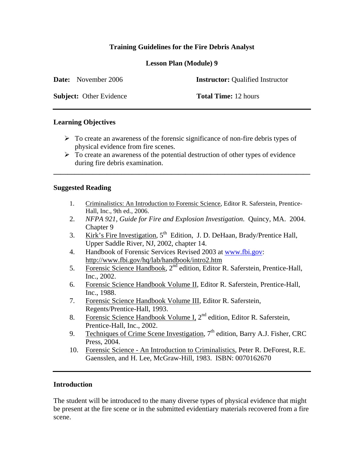# **Training Guidelines for the Fire Debris Analyst**

**Lesson Plan (Module) 9** 

| <b>Date:</b> November 2006     | <b>Instructor:</b> Qualified Instructor |
|--------------------------------|-----------------------------------------|
| <b>Subject:</b> Other Evidence | <b>Total Time:</b> 12 hours             |

### **Learning Objectives**

- $\triangleright$  To create an awareness of the forensic significance of non-fire debris types of physical evidence from fire scenes.
- $\triangleright$  To create an awareness of the potential destruction of other types of evidence during fire debris examination.

**\_\_\_\_\_\_\_\_\_\_\_\_\_\_\_\_\_\_\_\_\_\_\_\_\_\_\_\_\_\_\_\_\_\_\_\_\_\_\_\_\_\_\_\_\_\_\_\_\_\_\_\_\_\_\_\_\_\_\_\_\_\_\_\_\_\_\_\_\_\_\_\_** 

## **Suggested Reading**

- 1. Criminalistics: An Introduction to Forensic Science, Editor R. Saferstein, Prentice-Hall, Inc., 9th ed., 2006.
- 2. *NFPA 921, Guide for Fire and Explosion Investigation*. Quincy, MA. 2004. Chapter 9
- 3. Kirk's Fire Investigation, 5<sup>th</sup> Edition, J. D. DeHaan, Brady/Prentice Hall, Upper Saddle River, NJ, 2002, chapter 14.
- 4. Handbook of Forensic Services Revised 2003 at www.fbi.gov: http://www.fbi.gov/hq/lab/handbook/intro2.htm
- 5. Forensic Science Handbook, 2<sup>nd</sup> edition, Editor R. Saferstein, Prentice-Hall, Inc., 2002.
- 6. Forensic Science Handbook Volume II, Editor R. Saferstein, Prentice-Hall, Inc., 1988.
- 7. Forensic Science Handbook Volume III, Editor R. Saferstein, Regents/Prentice-Hall, 1993.
- 8. Forensic Science Handbook Volume I, 2<sup>nd</sup> edition, Editor R. Saferstein, Prentice-Hall, Inc., 2002.
- 9. Techniques of Crime Scene Investigation,  $7<sup>th</sup>$  edition, Barry A.J. Fisher, CRC Press, 2004.
- 10. Forensic Science An Introduction to Criminalistics, Peter R. DeForest, R.E. Gaensslen, and H. Lee, McGraw-Hill, 1983. ISBN: 0070162670

#### **Introduction**

The student will be introduced to the many diverse types of physical evidence that might be present at the fire scene or in the submitted evidentiary materials recovered from a fire scene.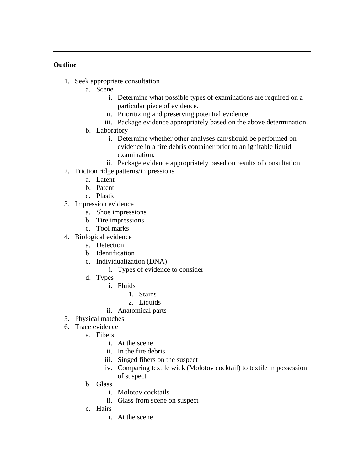## **Outline**

- 1. Seek appropriate consultation
	- a. Scene
		- i. Determine what possible types of examinations are required on a particular piece of evidence.
		- ii. Prioritizing and preserving potential evidence.
		- iii. Package evidence appropriately based on the above determination.
	- b. Laboratory
		- i. Determine whether other analyses can/should be performed on evidence in a fire debris container prior to an ignitable liquid examination.
		- ii. Package evidence appropriately based on results of consultation.
- 2. Friction ridge patterns/impressions
	- a. Latent
	- b. Patent
	- c. Plastic
- 3. Impression evidence
	- a. Shoe impressions
	- b. Tire impressions
	- c. Tool marks
- 4. Biological evidence
	- a. Detection
	- b. Identification
	- c. Individualization (DNA)
		- i. Types of evidence to consider
	- d. Types
		- i. Fluids
			- 1. Stains
			- 2. Liquids
		- ii. Anatomical parts
- 5. Physical matches
- 6. Trace evidence
	- a. Fibers
		- i. At the scene
		- ii. In the fire debris
		- iii. Singed fibers on the suspect
		- iv. Comparing textile wick (Molotov cocktail) to textile in possession of suspect
	- b. Glass
		- i. Molotov cocktails
		- ii. Glass from scene on suspect
	- c. Hairs
		- i. At the scene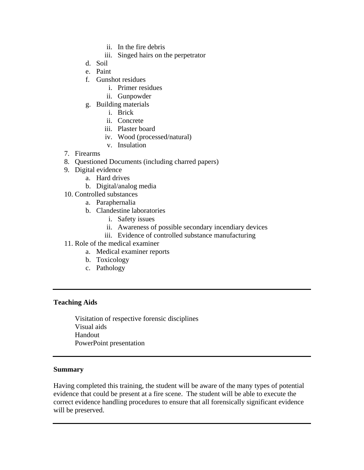- ii. In the fire debris
- iii. Singed hairs on the perpetrator
- d. Soil
- e. Paint
- f. Gunshot residues
	- i. Primer residues
	- ii. Gunpowder
- g. Building materials
	- i. Brick
	- ii. Concrete
	- iii. Plaster board
	- iv. Wood (processed/natural)
	- v. Insulation
- 7. Firearms
- 8. Questioned Documents (including charred papers)
- 9. Digital evidence
	- a. Hard drives
	- b. Digital/analog media
- 10. Controlled substances
	- a. Paraphernalia
		- b. Clandestine laboratories
			- i. Safety issues
			- ii. Awareness of possible secondary incendiary devices
			- iii. Evidence of controlled substance manufacturing
- 11. Role of the medical examiner
	- a. Medical examiner reports
	- b. Toxicology
	- c. Pathology

### **Teaching Aids**

Visitation of respective forensic disciplines Visual aids Handout PowerPoint presentation

#### **Summary**

Having completed this training, the student will be aware of the many types of potential evidence that could be present at a fire scene. The student will be able to execute the correct evidence handling procedures to ensure that all forensically significant evidence will be preserved.